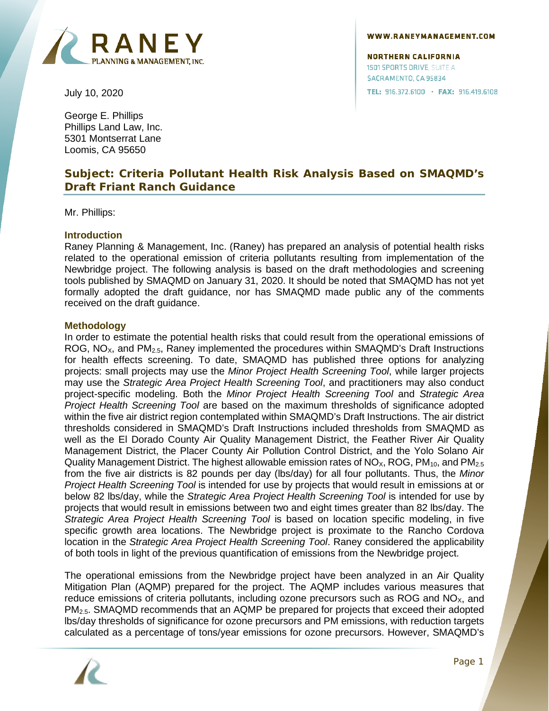

**NORTHERN CALIFORNIA** 1501 SPORTS DRIVE, SUITE A SACRAMENTO, CA 95834 TEL: 916.372.6100 · FAX: 916.419.6108

July 10, 2020

George E. Phillips Phillips Land Law, Inc. 5301 Montserrat Lane Loomis, CA 95650

# **Subject: Criteria Pollutant Health Risk Analysis Based on SMAQMD's Draft Friant Ranch Guidance**

Mr. Phillips:

### **Introduction**

Raney Planning & Management, Inc. (Raney) has prepared an analysis of potential health risks related to the operational emission of criteria pollutants resulting from implementation of the Newbridge project. The following analysis is based on the draft methodologies and screening tools published by SMAQMD on January 31, 2020. It should be noted that SMAQMD has not yet formally adopted the draft guidance, nor has SMAQMD made public any of the comments received on the draft guidance.

#### **Methodology**

In order to estimate the potential health risks that could result from the operational emissions of ROG,  $NO_{X}$ , and  $PM_{2.5}$ , Raney implemented the procedures within SMAQMD's Draft Instructions for health effects screening. To date, SMAQMD has published three options for analyzing projects: small projects may use the *Minor Project Health Screening Tool*, while larger projects may use the *Strategic Area Project Health Screening Tool*, and practitioners may also conduct project-specific modeling. Both the *Minor Project Health Screening Tool* and *Strategic Area Project Health Screening Tool* are based on the maximum thresholds of significance adopted within the five air district region contemplated within SMAQMD's Draft Instructions. The air district thresholds considered in SMAQMD's Draft Instructions included thresholds from SMAQMD as well as the El Dorado County Air Quality Management District, the Feather River Air Quality Management District, the Placer County Air Pollution Control District, and the Yolo Solano Air Quality Management District. The highest allowable emission rates of NO<sub>X</sub>, ROG, PM<sub>10</sub>, and PM<sub>2.5</sub> from the five air districts is 82 pounds per day (lbs/day) for all four pollutants. Thus, the *Minor Project Health Screening Tool* is intended for use by projects that would result in emissions at or below 82 lbs/day, while the *Strategic Area Project Health Screening Tool* is intended for use by projects that would result in emissions between two and eight times greater than 82 lbs/day. The *Strategic Area Project Health Screening Tool* is based on location specific modeling, in five specific growth area locations. The Newbridge project is proximate to the Rancho Cordova location in the *Strategic Area Project Health Screening Tool*. Raney considered the applicability of both tools in light of the previous quantification of emissions from the Newbridge project.

The operational emissions from the Newbridge project have been analyzed in an Air Quality Mitigation Plan (AQMP) prepared for the project. The AQMP includes various measures that reduce emissions of criteria pollutants, including ozone precursors such as ROG and  $NO<sub>x</sub>$ , and PM2.5. SMAQMD recommends that an AQMP be prepared for projects that exceed their adopted lbs/day thresholds of significance for ozone precursors and PM emissions, with reduction targets calculated as a percentage of tons/year emissions for ozone precursors. However, SMAQMD's

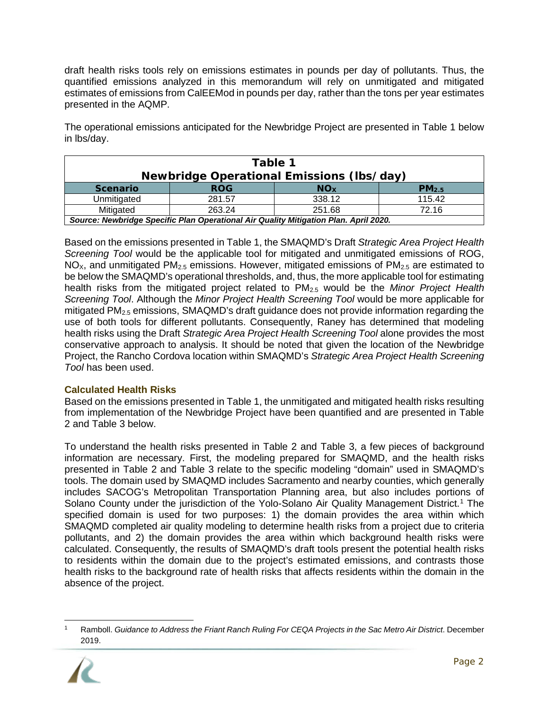draft health risks tools rely on emissions estimates in pounds per day of pollutants. Thus, the quantified emissions analyzed in this memorandum will rely on unmitigated and mitigated estimates of emissions from CalEEMod in pounds per day, rather than the tons per year estimates presented in the AQMP.

The operational emissions anticipated for the Newbridge Project are presented in [Table 1](#page-1-0) below in lbs/day.

<span id="page-1-0"></span>

| Table 1                                                                              |            |                       |                   |  |  |  |
|--------------------------------------------------------------------------------------|------------|-----------------------|-------------------|--|--|--|
| <b>Newbridge Operational Emissions (Ibs/day)</b>                                     |            |                       |                   |  |  |  |
| <b>Scenario</b>                                                                      | <b>ROG</b> | <b>NO<sub>x</sub></b> | PM <sub>2.5</sub> |  |  |  |
| Unmitigated                                                                          | 281.57     | 338.12                | 115.42            |  |  |  |
| Mitigated                                                                            | 263.24     | 251.68                | 72.16             |  |  |  |
| Source: Newbridge Specific Plan Operational Air Quality Mitigation Plan. April 2020. |            |                       |                   |  |  |  |

Based on the emissions presented in [Table 1,](#page-1-0) the SMAQMD's Draft *Strategic Area Project Health Screening Tool* would be the applicable tool for mitigated and unmitigated emissions of ROG,  $NO_{X}$ , and unmitigated PM<sub>2.5</sub> emissions. However, mitigated emissions of PM<sub>2.5</sub> are estimated to be below the SMAQMD's operational thresholds, and, thus, the more applicable tool for estimating health risks from the mitigated project related to PM2.5 would be the *Minor Project Health Screening Tool*. Although the *Minor Project Health Screening Tool* would be more applicable for mitigated PM<sub>2.5</sub> emissions, SMAQMD's draft guidance does not provide information regarding the use of both tools for different pollutants. Consequently, Raney has determined that modeling health risks using the Draft *Strategic Area Project Health Screening Tool* alone provides the most conservative approach to analysis. It should be noted that given the location of the Newbridge Project, the Rancho Cordova location within SMAQMD's *Strategic Area Project Health Screening Tool* has been used.

## **Calculated Health Risks**

Based on the emissions presented in [Table 1,](#page-1-0) the unmitigated and mitigated health risks resulting from implementation of the Newbridge Project have been quantified and are presented in [Table](#page-3-0)  [2](#page-3-0) and [Table 3](#page-4-0) below.

To understand the health risks presented in [Table 2](#page-3-0) and [Table 3,](#page-4-0) a few pieces of background information are necessary. First, the modeling prepared for SMAQMD, and the health risks presented in [Table 2](#page-3-0) and [Table 3](#page-4-0) relate to the specific modeling "domain" used in SMAQMD's tools. The domain used by SMAQMD includes Sacramento and nearby counties, which generally includes SACOG's Metropolitan Transportation Planning area, but also includes portions of Solano County under the jurisdiction of the Yolo-Solano Air Quality Management District.<sup>[1](#page-1-1)</sup> The specified domain is used for two purposes: 1) the domain provides the area within which SMAQMD completed air quality modeling to determine health risks from a project due to criteria pollutants, and 2) the domain provides the area within which background health risks were calculated. Consequently, the results of SMAQMD's draft tools present the potential health risks to residents within the domain due to the project's estimated emissions, and contrasts those health risks to the background rate of health risks that affects residents within the domain in the absence of the project.

<span id="page-1-1"></span><sup>1</sup> Ramboll. *Guidance to Address the Friant Ranch Ruling For CEQA Projects in the Sac Metro Air District*. December 2019.

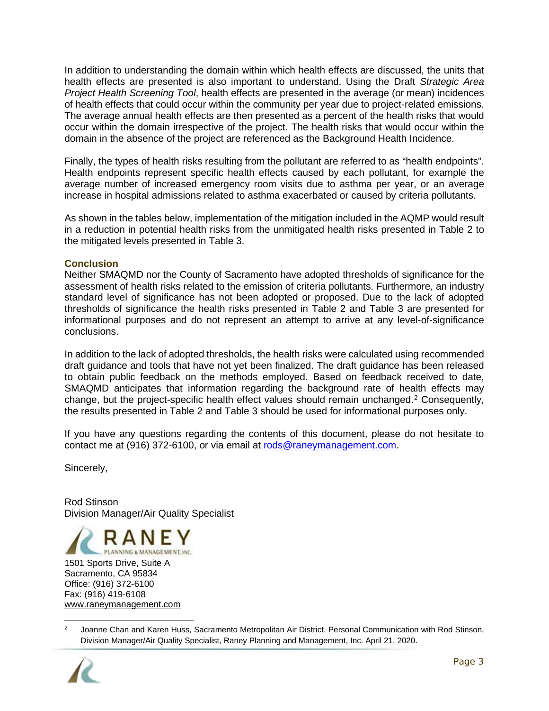In addition to understanding the domain within which health effects are discussed, the units that health effects are presented is also important to understand. Using the Draft *Strategic Area Project Health Screening Tool*, health effects are presented in the average (or mean) incidences of health effects that could occur within the community per year due to project-related emissions. The average annual health effects are then presented as a percent of the health risks that would occur within the domain irrespective of the project. The health risks that would occur within the domain in the absence of the project are referenced as the Background Health Incidence.

Finally, the types of health risks resulting from the pollutant are referred to as "health endpoints". Health endpoints represent specific health effects caused by each pollutant, for example the average number of increased emergency room visits due to asthma per year, or an average increase in hospital admissions related to asthma exacerbated or caused by criteria pollutants.

As shown in the tables below, implementation of the mitigation included in the AQMP would result in a reduction in potential health risks from the unmitigated health risks presented in [Table 2](#page-3-0) to the mitigated levels presented in [Table 3.](#page-4-0)

#### **Conclusion**

Neither SMAQMD nor the County of Sacramento have adopted thresholds of significance for the assessment of health risks related to the emission of criteria pollutants. Furthermore, an industry standard level of significance has not been adopted or proposed. Due to the lack of adopted thresholds of significance the health risks presented in [Table 2](#page-3-0) and [Table 3](#page-4-0) are presented for informational purposes and do not represent an attempt to arrive at any level-of-significance conclusions.

In addition to the lack of adopted thresholds, the health risks were calculated using recommended draft guidance and tools that have not yet been finalized. The draft guidance has been released to obtain public feedback on the methods employed. Based on feedback received to date, SMAQMD anticipates that information regarding the background rate of health effects may change, but the project-specific health effect values should remain unchanged.[2](#page-2-0) Consequently, the results presented in [Table 2](#page-3-0) and [Table 3](#page-4-0) should be used for informational purposes only.

If you have any questions regarding the contents of this document, please do not hesitate to contact me at (916) 372-6100, or via email at [rods@raneymanagement.com.](mailto:rods@raneymanagement.com)

Sincerely,

Rod Stinson Division Manager/Air Quality Specialist



<sup>&</sup>lt;sup>2</sup> Joanne Chan and Karen Huss, Sacramento Metropolitan Air District. Personal Communication with Rod Stinson, Division Manager/Air Quality Specialist, Raney Planning and Management, Inc. April 21, 2020.

<span id="page-2-0"></span>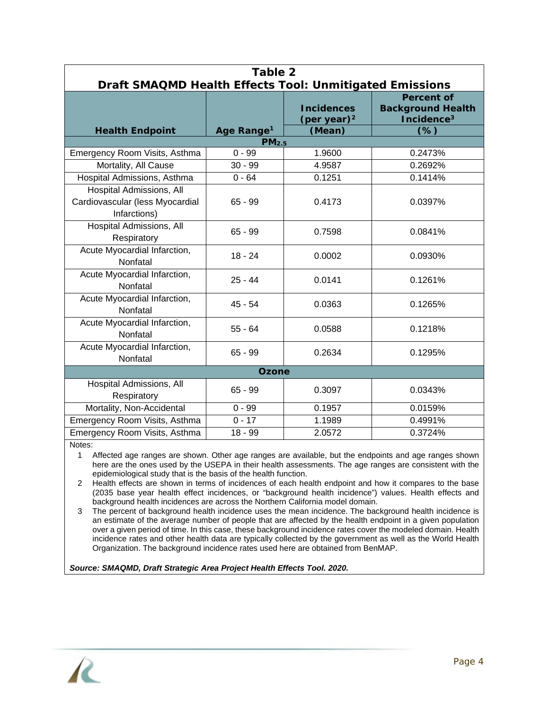<span id="page-3-0"></span>

| Table 2<br>Draft SMAQMD Health Effects Tool: Unmitigated Emissions                 |                                             |                                     |                                                                         |  |  |  |
|------------------------------------------------------------------------------------|---------------------------------------------|-------------------------------------|-------------------------------------------------------------------------|--|--|--|
|                                                                                    |                                             | <b>Incidences</b><br>(per year) $2$ | <b>Percent of</b><br><b>Background Health</b><br>Incidence <sup>3</sup> |  |  |  |
| <b>Health Endpoint</b>                                                             | Age Range <sup>1</sup><br>PM <sub>2.5</sub> | (Mean)                              | $(\%)$                                                                  |  |  |  |
| Emergency Room Visits, Asthma                                                      | $0 - 99$                                    | 1.9600                              | 0.2473%                                                                 |  |  |  |
| Mortality, All Cause                                                               | $30 - 99$                                   | 4.9587                              | 0.2692%                                                                 |  |  |  |
| Hospital Admissions, Asthma                                                        | $0 - 64$                                    | 0.1251                              | 0.1414%                                                                 |  |  |  |
| <b>Hospital Admissions, All</b><br>Cardiovascular (less Myocardial<br>Infarctions) | $65 - 99$                                   | 0.4173                              | 0.0397%                                                                 |  |  |  |
| Hospital Admissions, All<br>Respiratory                                            | $65 - 99$                                   | 0.7598                              | 0.0841%                                                                 |  |  |  |
| Acute Myocardial Infarction,<br>Nonfatal                                           | $18 - 24$                                   | 0.0002                              | 0.0930%                                                                 |  |  |  |
| Acute Myocardial Infarction,<br>Nonfatal                                           | $25 - 44$                                   | 0.0141                              | 0.1261%                                                                 |  |  |  |
| Acute Myocardial Infarction,<br>Nonfatal                                           | $45 - 54$                                   | 0.0363                              | 0.1265%                                                                 |  |  |  |
| Acute Myocardial Infarction,<br>Nonfatal                                           | $55 - 64$                                   | 0.0588                              | 0.1218%                                                                 |  |  |  |
| Acute Myocardial Infarction,<br>Nonfatal                                           | $65 - 99$                                   | 0.2634                              | 0.1295%                                                                 |  |  |  |
| <b>Ozone</b>                                                                       |                                             |                                     |                                                                         |  |  |  |
| Hospital Admissions, All<br>Respiratory                                            | $65 - 99$                                   | 0.3097                              | 0.0343%                                                                 |  |  |  |
| Mortality, Non-Accidental                                                          | $0 - 99$                                    | 0.1957                              | 0.0159%                                                                 |  |  |  |
| Emergency Room Visits, Asthma                                                      | $0 - 17$                                    | 1.1989                              | 0.4991%                                                                 |  |  |  |
| Emergency Room Visits, Asthma                                                      | 18 - 99                                     | 2.0572                              | 0.3724%                                                                 |  |  |  |

Notes:

1 Affected age ranges are shown. Other age ranges are available, but the endpoints and age ranges shown here are the ones used by the USEPA in their health assessments. The age ranges are consistent with the epidemiological study that is the basis of the health function.

2 Health effects are shown in terms of incidences of each health endpoint and how it compares to the base (2035 base year health effect incidences, or "background health incidence") values. Health effects and background health incidences are across the Northern California model domain.

3 The percent of background health incidence uses the mean incidence. The background health incidence is an estimate of the average number of people that are affected by the health endpoint in a given population over a given period of time. In this case, these background incidence rates cover the modeled domain. Health incidence rates and other health data are typically collected by the government as well as the World Health Organization. The background incidence rates used here are obtained from BenMAP.

*Source: SMAQMD, Draft Strategic Area Project Health Effects Tool. 2020.*